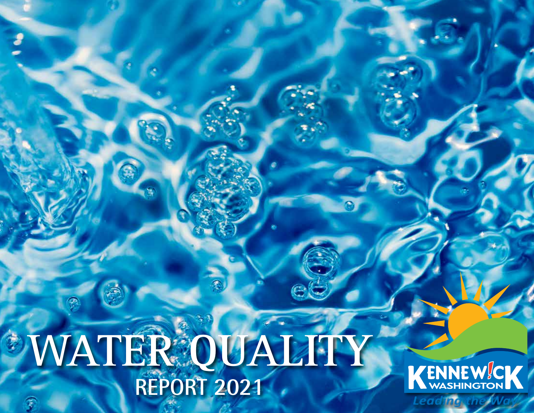# WATER QUALITY **REPORT 2021**

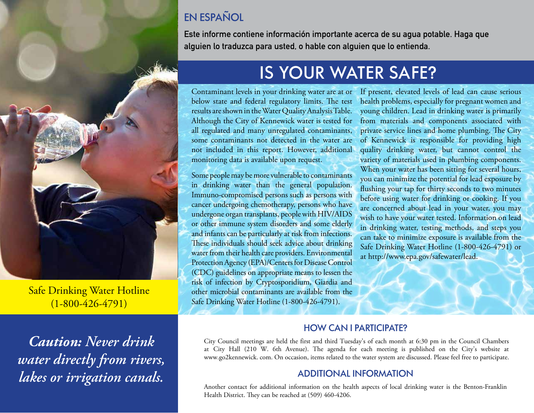# EN ESPAÑOL

**Este informe contiene información importante acerca de su agua potable. Haga que alguien lo traduzca para usted, o hable con alguien que lo entienda.**



Safe Drinking Water Hotline (1-800-426-4791)

*Caution: Never drink water directly from rivers, lakes or irrigation canals.*

# IS YOUR WATER SAFE?

Contaminant levels in your drinking water are at or below state and federal regulatory limits. The test results are shown in the Water Quality Analysis Table. Although the City of Kennewick water is tested for all regulated and many unregulated contaminants, some contaminants not detected in the water are not included in this report. However, additional monitoring data is available upon request.

Some people may be more vulnerable to contaminants in drinking water than the general population. Immuno-compromised persons such as persons with cancer undergoing chemotherapy, persons who have undergone organ transplants, people with HIV/AIDS or other immune system disorders and some elderly and infants can be particularly at risk from infections. These individuals should seek advice about drinking water from their health care providers. Environmental Protection Agency (EPA)/Centers for Disease Control (CDC) guidelines on appropriate means to lessen the risk of infection by Cryptosporidium, Giardia and other microbial contaminants are available from the Safe Drinking Water Hotline (1-800-426-4791).

If present, elevated levels of lead can cause serious health problems, especially for pregnant women and young children. Lead in drinking water is primarily from materials and components associated with private service lines and home plumbing. The City of Kennewick is responsible for providing high quality drinking water, but cannot control the variety of materials used in plumbing components. When your water has been sitting for several hours, you can minimize the potential for lead exposure by flushing your tap for thirty seconds to two minutes before using water for drinking or cooking. If you are concerned about lead in your water, you may wish to have your water tested. Information on lead in drinking water, testing methods, and steps you can take to minimize exposure is available from the Safe Drinking Water Hotline (1-800-426-4791) or at http://www.epa.gov/safewater/lead.

#### HOW CAN I PARTICIPATE?

City Council meetings are held the first and third Tuesday's of each month at 6:30 pm in the Council Chambers at City Hall (210 W. 6th Avenue). The agenda for each meeting is published on the City's website at www.go2kennewick. com. On occasion, items related to the water system are discussed. Please feel free to participate.

#### ADDITIONAL INFORMATION

Another contact for additional information on the health aspects of local drinking water is the Benton-Franklin Health District. They can be reached at (509) 460-4206.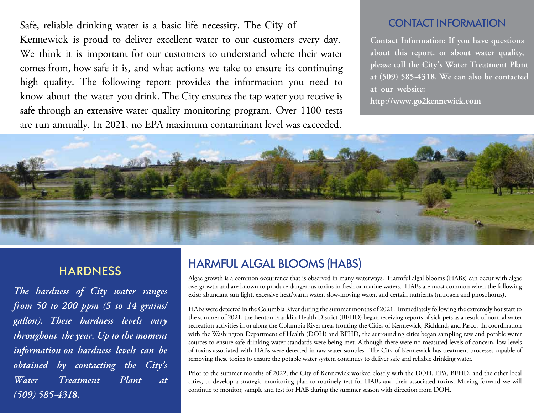Safe, reliable drinking water is a basic life necessity. The City of Kennewick is proud to deliver excellent water to our customers every day. We think it is important for our customers to understand where their water comes from, how safe it is, and what actions we take to ensure its continuing high quality. The following report provides the information you need to know about the water you drink. The City ensures the tap water you receive is safe through an extensive water quality monitoring program. Over 1100 tests are run annually. In 2021, no EPA maximum contaminant level was exceeded.

#### CONTACT INFORMATION

**Contact Information: If you have questions about this report, or about water quality, please call the City's Water Treatment Plant at (509) 585-4318. We can also be contacted at our website:**

**http://www.go2kennewick.com**



## **HARDNESS**

*The hardness of City water ranges from 50 to 200 ppm (5 to 14 grains/ gallon). These hardness levels vary throughout the year. Up to the moment information on hardness levels can be obtained by contacting the City's Water Treatment Plant at (509) 585-4318.*

# HARMFUL ALGAL BLOOMS (HABS)

Algae growth is a common occurrence that is observed in many waterways. Harmful algal blooms (HABs) can occur with algae overgrowth and are known to produce dangerous toxins in fresh or marine waters. HABs are most common when the following exist; abundant sun light, excessive heat/warm water, slow-moving water, and certain nutrients (nitrogen and phosphorus).

HABs were detected in the Columbia River during the summer months of 2021. Immediately following the extremely hot start to the summer of 2021, the Benton Franklin Health District (BFHD) began receiving reports of sick pets as a result of normal water recreation activities in or along the Columbia River areas fronting the Cities of Kennewick, Richland, and Pasco. In coordination with the Washington Department of Health (DOH) and BFHD, the surrounding cities began sampling raw and potable water sources to ensure safe drinking water standards were being met. Although there were no measured levels of concern, low levels of toxins associated with HABs were detected in raw water samples. The City of Kennewick has treatment processes capable of removing these toxins to ensure the potable water system continues to deliver safe and reliable drinking water.

Prior to the summer months of 2022, the City of Kennewick worked closely with the DOH, EPA, BFHD, and the other local cities, to develop a strategic monitoring plan to routinely test for HABs and their associated toxins. Moving forward we will continue to monitor, sample and test for HAB during the summer season with direction from DOH.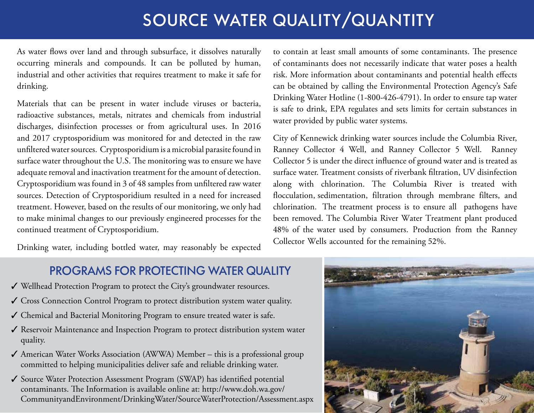# SOURCE WATER QUALITY/QUANTITY

As water flows over land and through subsurface, it dissolves naturally occurring minerals and compounds. It can be polluted by human, industrial and other activities that requires treatment to make it safe for drinking.

Materials that can be present in water include viruses or bacteria, radioactive substances, metals, nitrates and chemicals from industrial discharges, disinfection processes or from agricultural uses. In 2016 and 2017 cryptosporidium was monitored for and detected in the raw unfiltered water sources. Cryptosporidium is a microbial parasite found in surface water throughout the U.S. The monitoring was to ensure we have adequate removal and inactivation treatment for the amount of detection. Cryptosporidium was found in 3 of 48 samples from unfiltered raw water sources. Detection of Cryptosporidium resulted in a need for increased treatment. However, based on the results of our monitoring, we only had to make minimal changes to our previously engineered processes for the continued treatment of Cryptosporidium.

Drinking water, including bottled water, may reasonably be expected

to contain at least small amounts of some contaminants. The presence of contaminants does not necessarily indicate that water poses a health risk. More information about contaminants and potential health effects can be obtained by calling the Environmental Protection Agency's Safe Drinking Water Hotline (1-800-426-4791). In order to ensure tap water is safe to drink, EPA regulates and sets limits for certain substances in water provided by public water systems.

City of Kennewick drinking water sources include the Columbia River, Ranney Collector 4 Well, and Ranney Collector 5 Well. Ranney Collector 5 is under the direct influence of ground water and is treated as surface water. Treatment consists of riverbank filtration, UV disinfection along with chlorination. The Columbia River is treated with flocculation, sedimentation, filtration through membrane filters, and chlorination. The treatment process is to ensure all pathogens have been removed. The Columbia River Water Treatment plant produced 48% of the water used by consumers. Production from the Ranney Collector Wells accounted for the remaining 52%.

## PROGRAMS FOR PROTECTING WATER QUALITY

- ✔ Wellhead Protection Program to protect the City's groundwater resources.
- ◆ Cross Connection Control Program to protect distribution system water quality.
- 3 Chemical and Bacterial Monitoring Program to ensure treated water is safe.
- $\checkmark$  Reservoir Maintenance and Inspection Program to protect distribution system water quality.
- $\checkmark$  American Water Works Association (AWWA) Member this is a professional group committed to helping municipalities deliver safe and reliable drinking water.
- ◆ Source Water Protection Assessment Program (SWAP) has identified potential contaminants. The Information is available online at: http://www.doh.wa.gov/ CommunityandEnvironment/DrinkingWater/SourceWaterProtection/Assessment.aspx

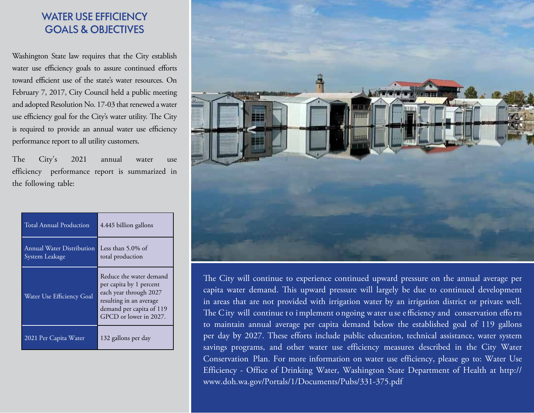### WATER USE EFFICIENCY GOALS & OBJECTIVES

Washington State law requires that the City establish water use efficiency goals to assure continued efforts toward efficient use of the state's water resources. On February 7, 2017, City Council held a public meeting and adopted Resolution No. 17-03 that renewed a water use efficiency goal for the City's water utility. The City is required to provide an annual water use efficiency performance report to all utility customers.

The City's 2021 annual water use efficiency performance report is summarized in the following table:

| <b>Total Annual Production</b>              | 4.445 billion gallons                                                                                                                                         |
|---------------------------------------------|---------------------------------------------------------------------------------------------------------------------------------------------------------------|
| Annual Water Distribution<br>System Leakage | Less than $5.0\%$ of<br>total production                                                                                                                      |
| Water Use Efficiency Goal                   | Reduce the water demand<br>per capita by 1 percent<br>each year through 2027<br>resulting in an average<br>demand per capita of 119<br>GPCD or lower in 2027. |
| 2021 Per Capita Water                       | 132 gallons per day                                                                                                                                           |



The City will continue to experience continued upward pressure on the annual average per capita water demand. This upward pressure will largely be due to continued development in areas that are not provided with irrigation water by an irrigation district or private well. The City will continue to implement o ngoing water use efficiency and conservation efforts to maintain annual average per capita demand below the established goal of 119 gallons per day by 2027. These efforts include public education, technical assistance, water system savings programs, and other water use efficiency measures described in the City Water Conservation Plan. For more information on water use efficiency, please go to: Water Use Efficiency - Office of Drinking Water, Washington State Department of Health at http:// www.doh.wa.gov/Portals/1/Documents/Pubs/331-375.pdf